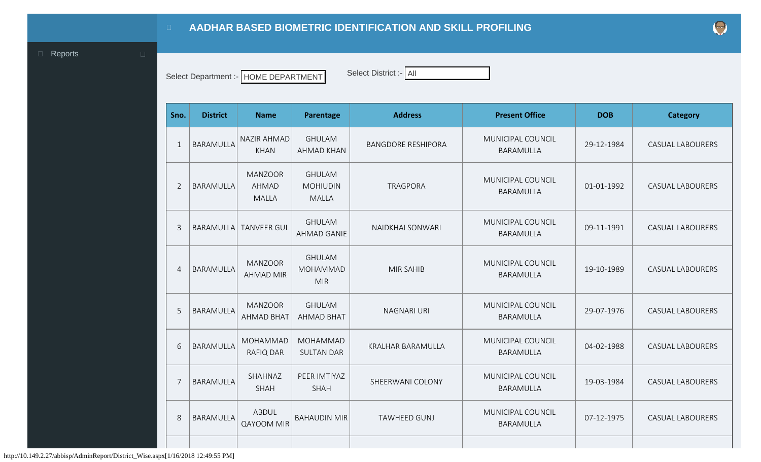<span id="page-0-0"></span>**D** [Reports](#page-0-0) **D** 

Select Department :- HOME DEPARTMENT Select District :- All HOME DEPARTMENT Select District :- All

|  | Select District :-   All |  |  |  |
|--|--------------------------|--|--|--|
|  |                          |  |  |  |

|  | t Department :-   HOME DEPARTMENT |
|--|-----------------------------------|
|--|-----------------------------------|

| Sno.           | <b>District</b>  | <b>Name</b>                                    | Parentage                                        | <b>Address</b>            | <b>Present Office</b>          | <b>DOB</b> | <b>Category</b>         |
|----------------|------------------|------------------------------------------------|--------------------------------------------------|---------------------------|--------------------------------|------------|-------------------------|
| $\mathbf{1}$   | <b>BARAMULLA</b> | NAZIR AHMAD<br><b>KHAN</b>                     | <b>GHULAM</b><br><b>AHMAD KHAN</b>               | <b>BANGDORE RESHIPORA</b> | MUNICIPAL COUNCIL<br>BARAMULLA | 29-12-1984 | <b>CASUAL LABOURERS</b> |
| $\overline{2}$ | BARAMULLA        | <b>MANZOOR</b><br><b>AHMAD</b><br><b>MALLA</b> | <b>GHULAM</b><br><b>MOHIUDIN</b><br><b>MALLA</b> | <b>TRAGPORA</b>           | MUNICIPAL COUNCIL<br>BARAMULLA | 01-01-1992 | <b>CASUAL LABOURERS</b> |
| 3              | <b>BARAMULLA</b> | <b>TANVEER GUL</b>                             | <b>GHULAM</b><br><b>AHMAD GANIE</b>              | NAIDKHAI SONWARI          | MUNICIPAL COUNCIL<br>BARAMULLA | 09-11-1991 | <b>CASUAL LABOURERS</b> |
| $\overline{4}$ | BARAMULLA        | <b>MANZOOR</b><br><b>AHMAD MIR</b>             | <b>GHULAM</b><br><b>MOHAMMAD</b><br><b>MIR</b>   | <b>MIR SAHIB</b>          | MUNICIPAL COUNCIL<br>BARAMULLA | 19-10-1989 | <b>CASUAL LABOURERS</b> |
| 5              | BARAMULLA        | <b>MANZOOR</b><br><b>AHMAD BHAT</b>            | <b>GHULAM</b><br><b>AHMAD BHAT</b>               | <b>NAGNARI URI</b>        | MUNICIPAL COUNCIL<br>BARAMULLA | 29-07-1976 | <b>CASUAL LABOURERS</b> |
| 6              | BARAMULLA        | MOHAMMAD<br>RAFIQ DAR                          | MOHAMMAD<br><b>SULTAN DAR</b>                    | KRALHAR BARAMULLA         | MUNICIPAL COUNCIL<br>BARAMULLA | 04-02-1988 | <b>CASUAL LABOURERS</b> |
| $\overline{7}$ | BARAMULLA        | SHAHNAZ<br>SHAH                                | PEER IMTIYAZ<br>SHAH                             | SHEERWANI COLONY          | MUNICIPAL COUNCIL<br>BARAMULLA | 19-03-1984 | <b>CASUAL LABOURERS</b> |
| 8              | BARAMULLA        | ABDUL<br><b>QAYOOM MIR</b>                     | <b>BAHAUDIN MIR</b>                              | <b>TAWHEED GUNJ</b>       | MUNICIPAL COUNCIL<br>BARAMULLA | 07-12-1975 | <b>CASUAL LABOURERS</b> |
|                |                  |                                                |                                                  |                           |                                |            |                         |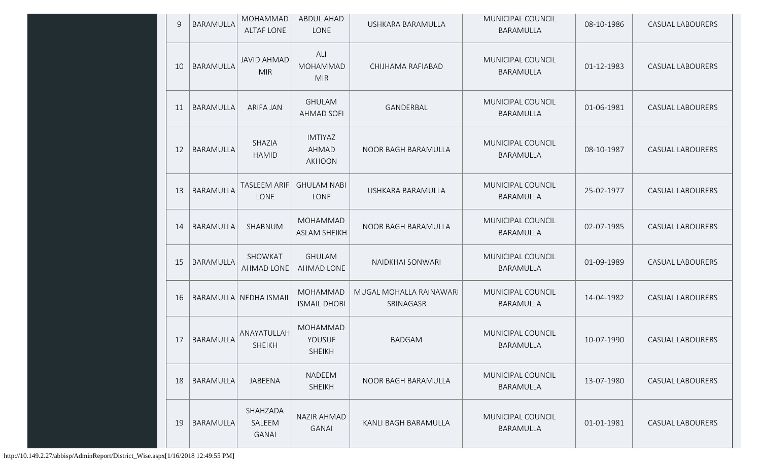| 9  | <b>BARAMULLA</b> | MOHAMMAD<br><b>ALTAF LONE</b>      | <b>ABDUL AHAD</b><br>LONE                       | USHKARA BARAMULLA                    | MUNICIPAL COUNCIL<br>BARAMULLA | 08-10-1986 | <b>CASUAL LABOURERS</b> |
|----|------------------|------------------------------------|-------------------------------------------------|--------------------------------------|--------------------------------|------------|-------------------------|
| 10 | BARAMULLA        | <b>JAVID AHMAD</b><br><b>MIR</b>   | ALI<br>MOHAMMAD<br><b>MIR</b>                   | CHIJHAMA RAFIABAD                    | MUNICIPAL COUNCIL<br>BARAMULLA | 01-12-1983 | <b>CASUAL LABOURERS</b> |
| 11 | BARAMULLA        | <b>ARIFA JAN</b>                   | <b>GHULAM</b><br>AHMAD SOFI                     | GANDERBAL                            | MUNICIPAL COUNCIL<br>BARAMULLA | 01-06-1981 | <b>CASUAL LABOURERS</b> |
| 12 | BARAMULLA        | SHAZIA<br><b>HAMID</b>             | <b>IMTIYAZ</b><br><b>AHMAD</b><br><b>AKHOON</b> | NOOR BAGH BARAMULLA                  | MUNICIPAL COUNCIL<br>BARAMULLA | 08-10-1987 | <b>CASUAL LABOURERS</b> |
| 13 | <b>BARAMULLA</b> | <b>TASLEEM ARIF</b><br>LONE        | <b>GHULAM NABI</b><br>LONE                      | USHKARA BARAMULLA                    | MUNICIPAL COUNCIL<br>BARAMULLA | 25-02-1977 | <b>CASUAL LABOURERS</b> |
| 14 | <b>BARAMULLA</b> | SHABNUM                            | MOHAMMAD<br><b>ASLAM SHEIKH</b>                 | NOOR BAGH BARAMULLA                  | MUNICIPAL COUNCIL<br>BARAMULLA | 02-07-1985 | <b>CASUAL LABOURERS</b> |
| 15 | BARAMULLA        | SHOWKAT<br><b>AHMAD LONE</b>       | <b>GHULAM</b><br>AHMAD LONE                     | NAIDKHAI SONWARI                     | MUNICIPAL COUNCIL<br>BARAMULLA | 01-09-1989 | <b>CASUAL LABOURERS</b> |
| 16 |                  | BARAMULLA NEDHA ISMAIL             | <b>MOHAMMAD</b><br><b>ISMAIL DHOBI</b>          | MUGAL MOHALLA RAINAWARI<br>SRINAGASR | MUNICIPAL COUNCIL<br>BARAMULLA | 14-04-1982 | <b>CASUAL LABOURERS</b> |
| 17 | BARAMULLA        | ANAYATULLAH<br><b>SHEIKH</b>       | MOHAMMAD<br>YOUSUF<br><b>SHEIKH</b>             | <b>BADGAM</b>                        | MUNICIPAL COUNCIL<br>BARAMULLA | 10-07-1990 | <b>CASUAL LABOURERS</b> |
| 18 | <b>BARAMULLA</b> | JABEENA                            | NADEEM<br><b>SHEIKH</b>                         | NOOR BAGH BARAMULLA                  | MUNICIPAL COUNCIL<br>BARAMULLA | 13-07-1980 | <b>CASUAL LABOURERS</b> |
| 19 | BARAMULLA        | SHAHZADA<br>SALEEM<br><b>GANAI</b> | NAZIR AHMAD<br><b>GANAI</b>                     | KANLI BAGH BARAMULLA                 | MUNICIPAL COUNCIL<br>BARAMULLA | 01-01-1981 | CASUAL LABOURERS        |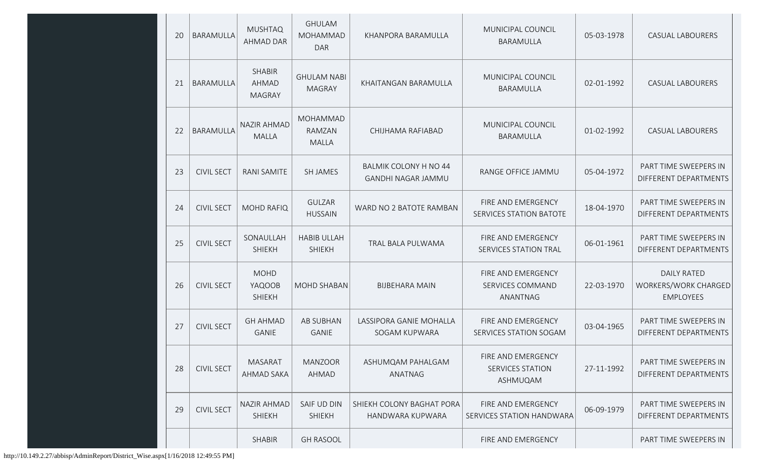| 20 | BARAMULLA         | <b>MUSHTAQ</b><br><b>AHMAD DAR</b>      | <b>GHULAM</b><br>MOHAMMAD<br><b>DAR</b> | KHANPORA BARAMULLA                                        | MUNICIPAL COUNCIL<br>BARAMULLA                            | 05-03-1978 | <b>CASUAL LABOURERS</b>                                        |
|----|-------------------|-----------------------------------------|-----------------------------------------|-----------------------------------------------------------|-----------------------------------------------------------|------------|----------------------------------------------------------------|
| 21 | BARAMULLA         | <b>SHABIR</b><br>AHMAD<br><b>MAGRAY</b> | <b>GHULAM NABI</b><br><b>MAGRAY</b>     | KHAITANGAN BARAMULLA                                      | MUNICIPAL COUNCIL<br>BARAMULLA                            | 02-01-1992 | <b>CASUAL LABOURERS</b>                                        |
| 22 | <b>BARAMULLA</b>  | <b>NAZIR AHMAD</b><br><b>MALLA</b>      | MOHAMMAD<br>RAMZAN<br><b>MALLA</b>      | CHIJHAMA RAFIABAD                                         | MUNICIPAL COUNCIL<br>BARAMULLA                            | 01-02-1992 | <b>CASUAL LABOURERS</b>                                        |
| 23 | <b>CIVIL SECT</b> | <b>RANI SAMITE</b>                      | <b>SH JAMES</b>                         | <b>BALMIK COLONY H NO 44</b><br><b>GANDHI NAGAR JAMMU</b> | RANGE OFFICE JAMMU                                        | 05-04-1972 | PART TIME SWEEPERS IN<br>DIFFERENT DEPARTMENTS                 |
| 24 | <b>CIVIL SECT</b> | <b>MOHD RAFIQ</b>                       | <b>GULZAR</b><br><b>HUSSAIN</b>         | WARD NO 2 BATOTE RAMBAN                                   | FIRE AND EMERGENCY<br>SERVICES STATION BATOTE             | 18-04-1970 | PART TIME SWEEPERS IN<br>DIFFERENT DEPARTMENTS                 |
| 25 | <b>CIVIL SECT</b> | SONAULLAH<br><b>SHIEKH</b>              | <b>HABIB ULLAH</b><br><b>SHIEKH</b>     | TRAL BALA PULWAMA                                         | FIRE AND EMERGENCY<br>SERVICES STATION TRAL               | 06-01-1961 | PART TIME SWEEPERS IN<br>DIFFERENT DEPARTMENTS                 |
| 26 | <b>CIVIL SECT</b> | <b>MOHD</b><br>YAQOOB<br><b>SHIEKH</b>  | MOHD SHABAN                             | <b>BIJBEHARA MAIN</b>                                     | FIRE AND EMERGENCY<br>SERVICES COMMAND<br>ANANTNAG        | 22-03-1970 | <b>DAILY RATED</b><br>WORKERS/WORK CHARGED<br><b>EMPLOYEES</b> |
| 27 | <b>CIVIL SECT</b> | <b>GH AHMAD</b><br><b>GANIE</b>         | <b>AB SUBHAN</b><br><b>GANIE</b>        | LASSIPORA GANIE MOHALLA<br>SOGAM KUPWARA                  | FIRE AND EMERGENCY<br>SERVICES STATION SOGAM              | 03-04-1965 | PART TIME SWEEPERS IN<br>DIFFERENT DEPARTMENTS                 |
| 28 | <b>CIVIL SECT</b> | <b>MASARAT</b><br><b>AHMAD SAKA</b>     | <b>MANZOOR</b><br><b>AHMAD</b>          | ASHUMQAM PAHALGAM<br>ANATNAG                              | FIRE AND EMERGENCY<br><b>SERVICES STATION</b><br>ASHMUQAM | 27-11-1992 | PART TIME SWEEPERS IN<br>DIFFERENT DEPARTMENTS                 |
| 29 | <b>CIVIL SECT</b> | <b>NAZIR AHMAD</b><br><b>SHIEKH</b>     | SAIF UD DIN<br><b>SHIEKH</b>            | SHIEKH COLONY BAGHAT PORA<br>HANDWARA KUPWARA             | FIRE AND EMERGENCY<br>SERVICES STATION HANDWARA           | 06-09-1979 | PART TIME SWEEPERS IN<br>DIFFERENT DEPARTMENTS                 |
|    |                   | <b>SHABIR</b>                           | <b>GH RASOOL</b>                        |                                                           | FIRE AND EMERGENCY                                        |            | PART TIME SWEEPERS IN                                          |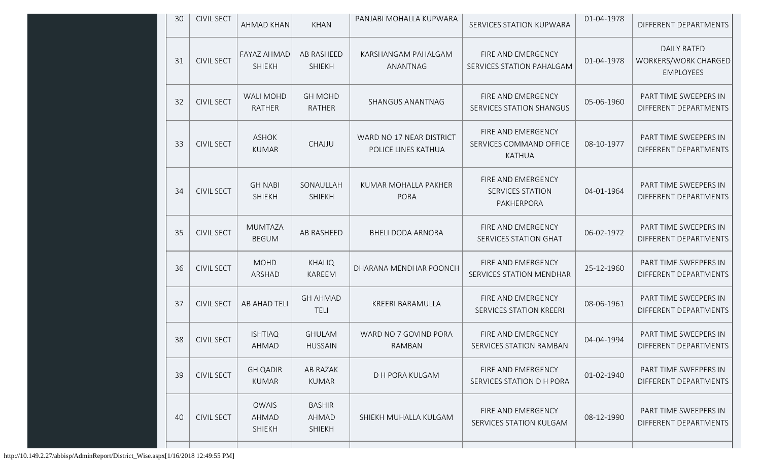| 30 | <b>CIVIL SECT</b> | AHMAD KHAN                             | <b>KHAN</b>                                    | PANJABI MOHALLA KUPWARA                         | SERVICES STATION KUPWARA                                       | 01-04-1978 | DIFFERENT DEPARTMENTS                                          |
|----|-------------------|----------------------------------------|------------------------------------------------|-------------------------------------------------|----------------------------------------------------------------|------------|----------------------------------------------------------------|
| 31 | <b>CIVIL SECT</b> | <b>FAYAZ AHMAD</b><br><b>SHIEKH</b>    | AB RASHEED<br><b>SHIEKH</b>                    | KARSHANGAM PAHALGAM<br>ANANTNAG                 | FIRE AND EMERGENCY<br>SERVICES STATION PAHALGAM                | 01-04-1978 | <b>DAILY RATED</b><br>WORKERS/WORK CHARGED<br><b>EMPLOYEES</b> |
| 32 | <b>CIVIL SECT</b> | <b>WALI MOHD</b><br><b>RATHER</b>      | <b>GH MOHD</b><br><b>RATHER</b>                | SHANGUS ANANTNAG                                | FIRE AND EMERGENCY<br>SERVICES STATION SHANGUS                 | 05-06-1960 | PART TIME SWEEPERS IN<br>DIFFERENT DEPARTMENTS                 |
| 33 | <b>CIVIL SECT</b> | <b>ASHOK</b><br><b>KUMAR</b>           | CHAJJU                                         | WARD NO 17 NEAR DISTRICT<br>POLICE LINES KATHUA | FIRE AND EMERGENCY<br>SERVICES COMMAND OFFICE<br><b>KATHUA</b> | 08-10-1977 | PART TIME SWEEPERS IN<br>DIFFERENT DEPARTMENTS                 |
| 34 | <b>CIVIL SECT</b> | <b>GH NABI</b><br><b>SHIEKH</b>        | SONAULLAH<br>SHIEKH                            | KUMAR MOHALLA PAKHER<br><b>PORA</b>             | FIRE AND EMERGENCY<br><b>SERVICES STATION</b><br>PAKHERPORA    | 04-01-1964 | PART TIME SWEEPERS IN<br>DIFFERENT DEPARTMENTS                 |
| 35 | <b>CIVIL SECT</b> | <b>MUMTAZA</b><br><b>BEGUM</b>         | <b>AB RASHEED</b>                              | <b>BHELI DODA ARNORA</b>                        | FIRE AND EMERGENCY<br>SERVICES STATION GHAT                    | 06-02-1972 | PART TIME SWEEPERS IN<br>DIFFERENT DEPARTMENTS                 |
| 36 | <b>CIVIL SECT</b> | <b>MOHD</b><br>ARSHAD                  | <b>KHALIQ</b><br>KAREEM                        | DHARANA MENDHAR POONCH                          | FIRE AND EMERGENCY<br>SERVICES STATION MENDHAR                 | 25-12-1960 | PART TIME SWEEPERS IN<br>DIFFERENT DEPARTMENTS                 |
| 37 | <b>CIVIL SECT</b> | AB AHAD TELI                           | <b>GH AHMAD</b><br><b>TELI</b>                 | KREERI BARAMULLA                                | FIRE AND EMERGENCY<br><b>SERVICES STATION KREERI</b>           | 08-06-1961 | PART TIME SWEEPERS IN<br>DIFFERENT DEPARTMENTS                 |
| 38 | <b>CIVIL SECT</b> | <b>ISHTIAQ</b><br>AHMAD                | <b>GHULAM</b><br><b>HUSSAIN</b>                | WARD NO 7 GOVIND PORA<br>RAMBAN                 | FIRE AND EMERGENCY<br>SERVICES STATION RAMBAN                  | 04-04-1994 | PART TIME SWEEPERS IN<br>DIFFERENT DEPARTMENTS                 |
| 39 | <b>CIVIL SECT</b> | <b>GH QADIR</b><br><b>KUMAR</b>        | AB RAZAK<br><b>KUMAR</b>                       | D H PORA KULGAM                                 | FIRE AND EMERGENCY<br>SERVICES STATION D H PORA                | 01-02-1940 | PART TIME SWEEPERS IN<br>DIFFERENT DEPARTMENTS                 |
| 40 | <b>CIVIL SECT</b> | <b>OWAIS</b><br>AHMAD<br><b>SHIEKH</b> | <b>BASHIR</b><br><b>AHMAD</b><br><b>SHIEKH</b> | SHIEKH MUHALLA KULGAM                           | FIRE AND EMERGENCY<br>SERVICES STATION KULGAM                  | 08-12-1990 | PART TIME SWEEPERS IN<br>DIFFERENT DEPARTMENTS                 |
|    |                   |                                        |                                                |                                                 |                                                                |            |                                                                |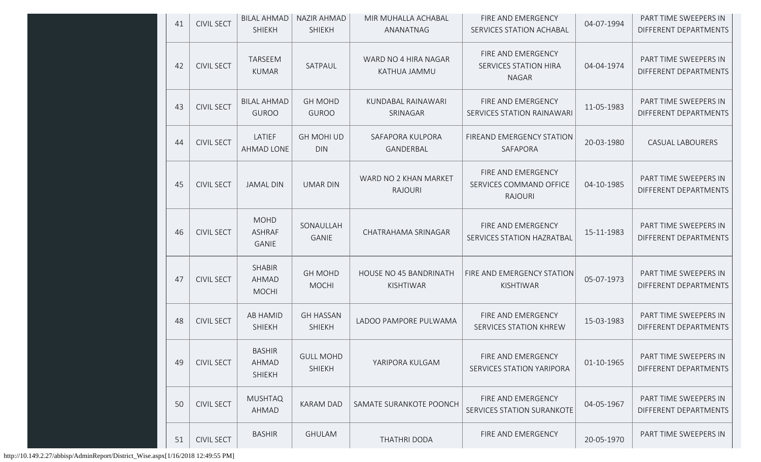| 41 | <b>CIVIL SECT</b> | <b>BILAL AHMAD</b><br><b>SHIEKH</b>           | NAZIR AHMAD<br><b>SHIEKH</b>      | MIR MUHALLA ACHABAL<br>ANANATNAG                  | FIRE AND EMERGENCY<br>SERVICES STATION ACHABAL                     | 04-07-1994 | PART TIME SWEEPERS IN<br>DIFFERENT DEPARTMENTS |
|----|-------------------|-----------------------------------------------|-----------------------------------|---------------------------------------------------|--------------------------------------------------------------------|------------|------------------------------------------------|
| 42 | <b>CIVIL SECT</b> | <b>TARSEEM</b><br><b>KUMAR</b>                | SATPAUL                           | WARD NO 4 HIRA NAGAR<br>KATHUA JAMMU              | FIRE AND EMERGENCY<br><b>SERVICES STATION HIRA</b><br><b>NAGAR</b> | 04-04-1974 | PART TIME SWEEPERS IN<br>DIFFERENT DEPARTMENTS |
| 43 | <b>CIVIL SECT</b> | <b>BILAL AHMAD</b><br><b>GUROO</b>            | <b>GH MOHD</b><br><b>GUROO</b>    | KUNDABAL RAINAWARI<br>SRINAGAR                    | FIRE AND EMERGENCY<br><b>SERVICES STATION RAINAWARI</b>            | 11-05-1983 | PART TIME SWEEPERS IN<br>DIFFERENT DEPARTMENTS |
| 44 | <b>CIVIL SECT</b> | LATIEF<br>AHMAD LONE                          | <b>GH MOHI UD</b><br><b>DIN</b>   | SAFAPORA KULPORA<br>GANDERBAL                     | FIREAND EMERGENCY STATION<br>SAFAPORA                              | 20-03-1980 | <b>CASUAL LABOURERS</b>                        |
| 45 | <b>CIVIL SECT</b> | <b>JAMAL DIN</b>                              | <b>UMAR DIN</b>                   | WARD NO 2 KHAN MARKET<br><b>RAJOURI</b>           | FIRE AND EMERGENCY<br>SERVICES COMMAND OFFICE<br><b>RAJOURI</b>    | 04-10-1985 | PART TIME SWEEPERS IN<br>DIFFERENT DEPARTMENTS |
| 46 | <b>CIVIL SECT</b> | <b>MOHD</b><br><b>ASHRAF</b><br><b>GANIE</b>  | SONAULLAH<br>GANIE                | CHATRAHAMA SRINAGAR                               | FIRE AND EMERGENCY<br>SERVICES STATION HAZRATBAL                   | 15-11-1983 | PART TIME SWEEPERS IN<br>DIFFERENT DEPARTMENTS |
| 47 | <b>CIVIL SECT</b> | <b>SHABIR</b><br><b>AHMAD</b><br><b>MOCHI</b> | <b>GH MOHD</b><br><b>MOCHI</b>    | <b>HOUSE NO 45 BANDRINATH</b><br><b>KISHTIWAR</b> | FIRE AND EMERGENCY STATION<br>KISHTIWAR                            | 05-07-1973 | PART TIME SWEEPERS IN<br>DIFFERENT DEPARTMENTS |
| 48 | <b>CIVIL SECT</b> | <b>AB HAMID</b><br>SHIEKH                     | <b>GH HASSAN</b><br><b>SHIEKH</b> | LADOO PAMPORE PULWAMA                             | FIRE AND EMERGENCY<br>SERVICES STATION KHREW                       | 15-03-1983 | PART TIME SWEEPERS IN<br>DIFFERENT DEPARTMENTS |
| 49 | <b>CIVIL SECT</b> | <b>BASHIR</b><br>AHMAD<br><b>SHIEKH</b>       | <b>GULL MOHD</b><br><b>SHIEKH</b> | YARIPORA KULGAM                                   | FIRE AND EMERGENCY<br>SERVICES STATION YARIPORA                    | 01-10-1965 | PART TIME SWEEPERS IN<br>DIFFERENT DEPARTMENTS |
| 50 | <b>CIVIL SECT</b> | <b>MUSHTAQ</b><br>AHMAD                       | <b>KARAM DAD</b>                  | SAMATE SURANKOTE POONCH                           | FIRE AND EMERGENCY<br>SERVICES STATION SURANKOTE                   | 04-05-1967 | PART TIME SWEEPERS IN<br>DIFFERENT DEPARTMENTS |
| 51 | <b>CIVIL SECT</b> | <b>BASHIR</b>                                 | <b>GHULAM</b>                     | <b>THATHRI DODA</b>                               | FIRE AND EMERGENCY                                                 | 20-05-1970 | PART TIME SWEEPERS IN                          |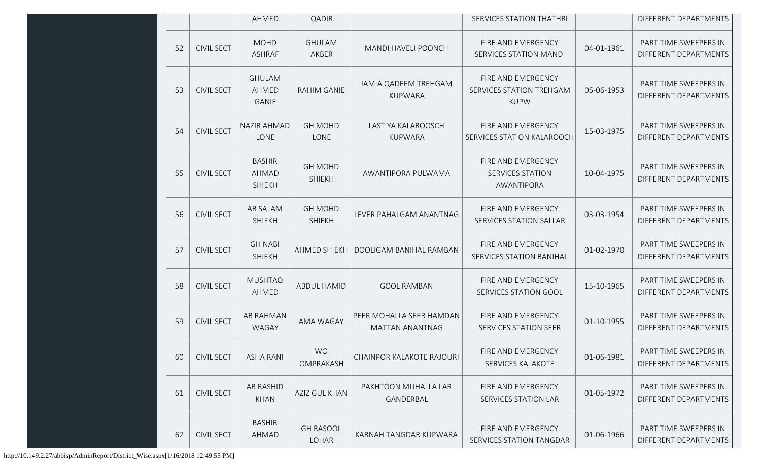|    |                   | AHMED                                   | <b>QADIR</b>                    |                                                    | <b>SERVICES STATION THATHRI</b>                               |            | DIFFERENT DEPARTMENTS                          |
|----|-------------------|-----------------------------------------|---------------------------------|----------------------------------------------------|---------------------------------------------------------------|------------|------------------------------------------------|
| 52 | <b>CIVIL SECT</b> | <b>MOHD</b><br><b>ASHRAF</b>            | <b>GHULAM</b><br>AKBER          | <b>MANDI HAVELI POONCH</b>                         | FIRE AND EMERGENCY<br>SERVICES STATION MANDI                  | 04-01-1961 | PART TIME SWEEPERS IN<br>DIFFERENT DEPARTMENTS |
| 53 | <b>CIVIL SECT</b> | <b>GHULAM</b><br>AHMED<br><b>GANIE</b>  | <b>RAHIM GANIE</b>              | JAMIA QADEEM TREHGAM<br><b>KUPWARA</b>             | FIRE AND EMERGENCY<br>SERVICES STATION TREHGAM<br><b>KUPW</b> | 05-06-1953 | PART TIME SWEEPERS IN<br>DIFFERENT DEPARTMENTS |
| 54 | <b>CIVIL SECT</b> | <b>NAZIR AHMAD</b><br>LONE              | <b>GH MOHD</b><br>LONE          | LASTIYA KALAROOSCH<br><b>KUPWARA</b>               | FIRE AND EMERGENCY<br>SERVICES STATION KALAROOCH              | 15-03-1975 | PART TIME SWEEPERS IN<br>DIFFERENT DEPARTMENTS |
| 55 | <b>CIVIL SECT</b> | <b>BASHIR</b><br>AHMAD<br><b>SHIEKH</b> | <b>GH MOHD</b><br><b>SHIEKH</b> | AWANTIPORA PULWAMA                                 | FIRE AND EMERGENCY<br><b>SERVICES STATION</b><br>AWANTIPORA   | 10-04-1975 | PART TIME SWEEPERS IN<br>DIFFERENT DEPARTMENTS |
| 56 | <b>CIVIL SECT</b> | AB SALAM<br><b>SHIEKH</b>               | <b>GH MOHD</b><br><b>SHIEKH</b> | LEVER PAHALGAM ANANTNAG                            | FIRE AND EMERGENCY<br>SERVICES STATION SALLAR                 | 03-03-1954 | PART TIME SWEEPERS IN<br>DIFFERENT DEPARTMENTS |
| 57 | <b>CIVIL SECT</b> | <b>GH NABI</b><br><b>SHIEKH</b>         | AHMED SHIEKH                    | DOOLIGAM BANIHAL RAMBAN                            | FIRE AND EMERGENCY<br><b>SERVICES STATION BANIHAL</b>         | 01-02-1970 | PART TIME SWEEPERS IN<br>DIFFERENT DEPARTMENTS |
| 58 | <b>CIVIL SECT</b> | <b>MUSHTAQ</b><br>AHMED                 | <b>ABDUL HAMID</b>              | <b>GOOL RAMBAN</b>                                 | FIRE AND EMERGENCY<br>SERVICES STATION GOOL                   | 15-10-1965 | PART TIME SWEEPERS IN<br>DIFFERENT DEPARTMENTS |
| 59 | <b>CIVIL SECT</b> | AB RAHMAN<br><b>WAGAY</b>               | AMA WAGAY                       | PEER MOHALLA SEER HAMDAN<br><b>MATTAN ANANTNAG</b> | FIRE AND EMERGENCY<br>SERVICES STATION SEER                   | 01-10-1955 | PART TIME SWEEPERS IN<br>DIFFERENT DEPARTMENTS |
| 60 | <b>CIVIL SECT</b> | <b>ASHA RANI</b>                        | <b>WO</b><br>OMPRAKASH          | <b>CHAINPOR KALAKOTE RAJOURI</b>                   | FIRE AND EMERGENCY<br><b>SERVICES KALAKOTE</b>                | 01-06-1981 | PART TIME SWEEPERS IN<br>DIFFERENT DEPARTMENTS |
| 61 | <b>CIVIL SECT</b> | <b>AB RASHID</b><br><b>KHAN</b>         | AZIZ GUL KHAN                   | PAKHTOON MUHALLA LAR<br>GANDERBAL                  | FIRE AND EMERGENCY<br>SERVICES STATION LAR                    | 01-05-1972 | PART TIME SWEEPERS IN<br>DIFFERENT DEPARTMENTS |
| 62 | <b>CIVIL SECT</b> | <b>BASHIR</b><br>AHMAD                  | <b>GH RASOOL</b><br>LOHAR       | KARNAH TANGDAR KUPWARA                             | FIRE AND EMERGENCY<br>SERVICES STATION TANGDAR                | 01-06-1966 | PART TIME SWEEPERS IN<br>DIFFERENT DEPARTMENTS |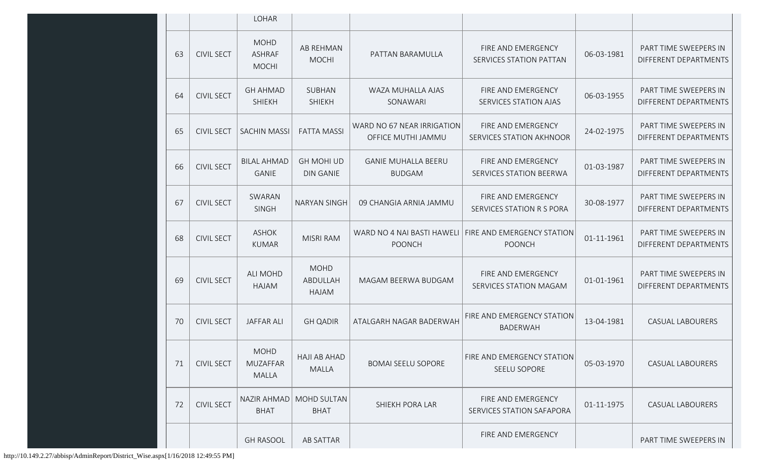|    |                   | <b>LOHAR</b>                                   |                                       |                                                  |                                                                          |            |                                                |
|----|-------------------|------------------------------------------------|---------------------------------------|--------------------------------------------------|--------------------------------------------------------------------------|------------|------------------------------------------------|
| 63 | <b>CIVIL SECT</b> | <b>MOHD</b><br><b>ASHRAF</b><br><b>MOCHI</b>   | AB REHMAN<br><b>MOCHI</b>             | PATTAN BARAMULLA                                 | FIRE AND EMERGENCY<br>SERVICES STATION PATTAN                            | 06-03-1981 | PART TIME SWEEPERS IN<br>DIFFERENT DEPARTMENTS |
| 64 | <b>CIVIL SECT</b> | <b>GH AHMAD</b><br><b>SHIEKH</b>               | SUBHAN<br><b>SHIEKH</b>               | WAZA MUHALLA AJAS<br>SONAWARI                    | FIRE AND EMERGENCY<br>SERVICES STATION AJAS                              | 06-03-1955 | PART TIME SWEEPERS IN<br>DIFFERENT DEPARTMENTS |
| 65 | <b>CIVIL SECT</b> | <b>SACHIN MASSI</b>                            | <b>FATTA MASSI</b>                    | WARD NO 67 NEAR IRRIGATION<br>OFFICE MUTHI JAMMU | FIRE AND EMERGENCY<br>SERVICES STATION AKHNOOR                           | 24-02-1975 | PART TIME SWEEPERS IN<br>DIFFERENT DEPARTMENTS |
| 66 | <b>CIVIL SECT</b> | <b>BILAL AHMAD</b><br><b>GANIE</b>             | <b>GH MOHI UD</b><br><b>DIN GANIE</b> | <b>GANIE MUHALLA BEERU</b><br><b>BUDGAM</b>      | <b>FIRE AND EMERGENCY</b><br>SERVICES STATION BEERWA                     | 01-03-1987 | PART TIME SWEEPERS IN<br>DIFFERENT DEPARTMENTS |
| 67 | <b>CIVIL SECT</b> | SWARAN<br>SINGH                                | <b>NARYAN SINGH</b>                   | 09 CHANGIA ARNIA JAMMU                           | FIRE AND EMERGENCY<br><b>SERVICES STATION R S PORA</b>                   | 30-08-1977 | PART TIME SWEEPERS IN<br>DIFFERENT DEPARTMENTS |
| 68 | <b>CIVIL SECT</b> | <b>ASHOK</b><br><b>KUMAR</b>                   | <b>MISRI RAM</b>                      | <b>POONCH</b>                                    | WARD NO 4 NAI BASTI HAWELI   FIRE AND EMERGENCY STATION<br><b>POONCH</b> | 01-11-1961 | PART TIME SWEEPERS IN<br>DIFFERENT DEPARTMENTS |
| 69 | <b>CIVIL SECT</b> | <b>ALI MOHD</b><br>HAJAM                       | <b>MOHD</b><br>ABDULLAH<br>HAJAM      | MAGAM BEERWA BUDGAM                              | FIRE AND EMERGENCY<br>SERVICES STATION MAGAM                             | 01-01-1961 | PART TIME SWEEPERS IN<br>DIFFERENT DEPARTMENTS |
| 70 | <b>CIVIL SECT</b> | <b>JAFFAR ALI</b>                              | <b>GH QADIR</b>                       | ATALGARH NAGAR BADERWAH                          | FIRE AND EMERGENCY STATION<br><b>BADERWAH</b>                            | 13-04-1981 | <b>CASUAL LABOURERS</b>                        |
| 71 | <b>CIVIL SECT</b> | <b>MOHD</b><br><b>MUZAFFAR</b><br><b>MALLA</b> | <b>HAJI AB AHAD</b><br><b>MALLA</b>   | <b>BOMAI SEELU SOPORE</b>                        | FIRE AND EMERGENCY STATION<br>SEELU SOPORE                               | 05-03-1970 | CASUAL LABOURERS                               |
| 72 | <b>CIVIL SECT</b> | NAZIR AHMAD<br><b>BHAT</b>                     | <b>MOHD SULTAN</b><br><b>BHAT</b>     | SHIEKH PORA LAR                                  | FIRE AND EMERGENCY<br>SERVICES STATION SAFAPORA                          | 01-11-1975 | <b>CASUAL LABOURERS</b>                        |
|    |                   | <b>GH RASOOL</b>                               | AB SATTAR                             |                                                  | FIRE AND EMERGENCY                                                       |            | PART TIME SWEEPERS IN                          |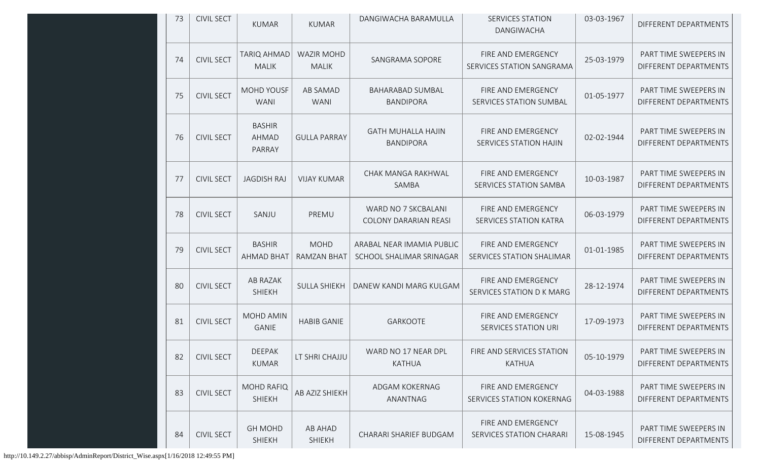| 73 | <b>CIVIL SECT</b> | <b>KUMAR</b>                       | <b>KUMAR</b>                      | DANGIWACHA BARAMULLA                                  | <b>SERVICES STATION</b><br>DANGIWACHA               | 03-03-1967 | DIFFERENT DEPARTMENTS                          |
|----|-------------------|------------------------------------|-----------------------------------|-------------------------------------------------------|-----------------------------------------------------|------------|------------------------------------------------|
| 74 | <b>CIVIL SECT</b> | <b>TARIQ AHMAD</b><br><b>MALIK</b> | <b>WAZIR MOHD</b><br><b>MALIK</b> | SANGRAMA SOPORE                                       | FIRE AND EMERGENCY<br>SERVICES STATION SANGRAMA     | 25-03-1979 | PART TIME SWEEPERS IN<br>DIFFERENT DEPARTMENTS |
| 75 | <b>CIVIL SECT</b> | <b>MOHD YOUSF</b><br><b>WANI</b>   | <b>AB SAMAD</b><br><b>WANI</b>    | <b>BAHARABAD SUMBAL</b><br><b>BANDIPORA</b>           | FIRE AND EMERGENCY<br>SERVICES STATION SUMBAL       | 01-05-1977 | PART TIME SWEEPERS IN<br>DIFFERENT DEPARTMENTS |
| 76 | <b>CIVIL SECT</b> | <b>BASHIR</b><br>AHMAD<br>PARRAY   | <b>GULLA PARRAY</b>               | <b>GATH MUHALLA HAJIN</b><br><b>BANDIPORA</b>         | FIRE AND EMERGENCY<br>SERVICES STATION HAJIN        | 02-02-1944 | PART TIME SWEEPERS IN<br>DIFFERENT DEPARTMENTS |
| 77 | <b>CIVIL SECT</b> | <b>JAGDISH RAJ</b>                 | <b>VIJAY KUMAR</b>                | CHAK MANGA RAKHWAL<br>SAMBA                           | FIRE AND EMERGENCY<br>SERVICES STATION SAMBA        | 10-03-1987 | PART TIME SWEEPERS IN<br>DIFFERENT DEPARTMENTS |
| 78 | <b>CIVIL SECT</b> | SANJU                              | PREMU                             | WARD NO 7 SKCBALANI<br><b>COLONY DARARIAN REASI</b>   | FIRE AND EMERGENCY<br><b>SERVICES STATION KATRA</b> | 06-03-1979 | PART TIME SWEEPERS IN<br>DIFFERENT DEPARTMENTS |
| 79 | <b>CIVIL SECT</b> | <b>BASHIR</b><br><b>AHMAD BHAT</b> | <b>MOHD</b><br><b>RAMZAN BHAT</b> | ARABAL NEAR IMAMIA PUBLIC<br>SCHOOL SHALIMAR SRINAGAR | FIRE AND EMERGENCY<br>SERVICES STATION SHALIMAR     | 01-01-1985 | PART TIME SWEEPERS IN<br>DIFFERENT DEPARTMENTS |
| 80 | <b>CIVIL SECT</b> | AB RAZAK<br><b>SHIEKH</b>          | <b>SULLA SHIEKH</b>               | DANEW KANDI MARG KULGAM                               | FIRE AND EMERGENCY<br>SERVICES STATION D K MARG     | 28-12-1974 | PART TIME SWEEPERS IN<br>DIFFERENT DEPARTMENTS |
| 81 | <b>CIVIL SECT</b> | <b>MOHD AMIN</b><br>GANIE          | <b>HABIB GANIE</b>                | <b>GARKOOTE</b>                                       | FIRE AND EMERGENCY<br>SERVICES STATION URI          | 17-09-1973 | PART TIME SWEEPERS IN<br>DIFFERENT DEPARTMENTS |
| 82 | <b>CIVIL SECT</b> | <b>DEEPAK</b><br><b>KUMAR</b>      | LT SHRI CHAJJU                    | WARD NO 17 NEAR DPL<br><b>KATHUA</b>                  | FIRE AND SERVICES STATION<br><b>KATHUA</b>          | 05-10-1979 | PART TIME SWEEPERS IN<br>DIFFERENT DEPARTMENTS |
| 83 | <b>CIVIL SECT</b> | <b>MOHD RAFIQ</b><br><b>SHIEKH</b> | AB AZIZ SHIEKH                    | ADGAM KOKERNAG<br>ANANTNAG                            | FIRE AND EMERGENCY<br>SERVICES STATION KOKERNAG     | 04-03-1988 | PART TIME SWEEPERS IN<br>DIFFERENT DEPARTMENTS |
| 84 | <b>CIVIL SECT</b> | <b>GH MOHD</b><br>SHIEKH           | AB AHAD<br><b>SHIEKH</b>          | CHARARI SHARIEF BUDGAM                                | FIRE AND EMERGENCY<br>SERVICES STATION CHARARI      | 15-08-1945 | PART TIME SWEEPERS IN<br>DIFFERENT DEPARTMENTS |